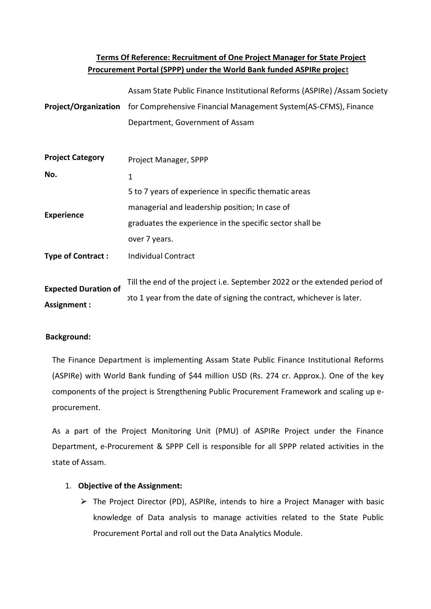# **Terms Of Reference: Recruitment of One Project Manager for State Project Procurement Portal (SPPP) under the World Bank funded ASPIRe projec**t

|                                            | Assam State Public Finance Institutional Reforms (ASPIRe) / Assam Society            |
|--------------------------------------------|--------------------------------------------------------------------------------------|
|                                            | Project/Organization for Comprehensive Financial Management System(AS-CFMS), Finance |
|                                            | Department, Government of Assam                                                      |
| <b>Project Category</b>                    | Project Manager, SPPP                                                                |
| No.                                        | $\mathbf{1}$                                                                         |
|                                            | 5 to 7 years of experience in specific thematic areas                                |
| <b>Experience</b>                          | managerial and leadership position; In case of                                       |
|                                            | graduates the experience in the specific sector shall be                             |
|                                            | over 7 years.                                                                        |
| <b>Type of Contract:</b>                   | <b>Individual Contract</b>                                                           |
|                                            | Till the end of the project i.e. September 2022 or the extended period of            |
| <b>Expected Duration of</b><br>Assignment: | oto 1 year from the date of signing the contract, whichever is later.                |

# **Background:**

The Finance Department is implementing Assam State Public Finance Institutional Reforms (ASPIRe) with World Bank funding of \$44 million USD (Rs. 274 cr. Approx.). One of the key components of the project is Strengthening Public Procurement Framework and scaling up eprocurement.

As a part of the Project Monitoring Unit (PMU) of ASPIRe Project under the Finance Department, e-Procurement & SPPP Cell is responsible for all SPPP related activities in the state of Assam.

# 1. **Objective of the Assignment:**

⮚ The Project Director (PD), ASPIRe, intends to hire a Project Manager with basic knowledge of Data analysis to manage activities related to the State Public Procurement Portal and roll out the Data Analytics Module.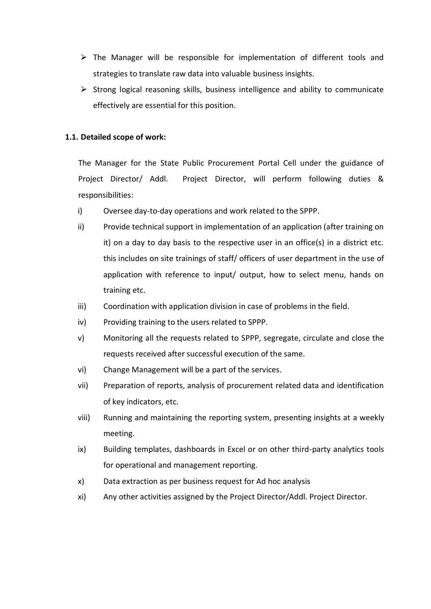- $\triangleright$  The Manager will be responsible for implementation of different tools and strategies to translate raw data into valuable business insights.
- $\triangleright$  Strong logical reasoning skills, business intelligence and ability to communicate effectively are essential for this position.

## **1.1. Detailed scope of work:**

The Manager for the State Public Procurement Portal Cell under the guidance of Project Director/ Addl. Project Director, will perform following duties & responsibilities:

- i) Oversee day-to-day operations and work related to the SPPP.
- ii) Provide technical support in implementation of an application (after training on it) on a day to day basis to the respective user in an office(s) in a district etc. this includes on site trainings of staff/ officers of user department in the use of application with reference to input/ output, how to select menu, hands on training etc.
- iii) Coordination with application division in case of problems in the field.
- iv) Providing training to the users related to SPPP.
- v) Monitoring all the requests related to SPPP, segregate, circulate and close the requests received after successful execution of the same.
- vi) Change Management will be a part of the services.
- vii) Preparation of reports, analysis of procurement related data and identification of key indicators, etc.
- viii) Running and maintaining the reporting system, presenting insights at a weekly meeting.
- ix) Building templates, dashboards in Excel or on other third-party analytics tools for operational and management reporting.
- x) Data extraction as per business request for Ad hoc analysis
- xi) Any other activities assigned by the Project Director/Addl. Project Director.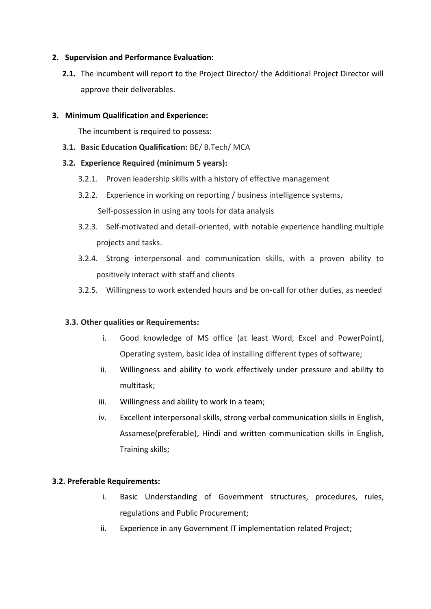## **2. Supervision and Performance Evaluation:**

**2.1.** The incumbent will report to the Project Director/ the Additional Project Director will approve their deliverables.

### **3. Minimum Qualification and Experience:**

The incumbent is required to possess:

**3.1. Basic Education Qualification:** BE/ B.Tech/ MCA

## **3.2. Experience Required (minimum 5 years):**

- 3.2.1. Proven leadership skills with a history of effective management
- 3.2.2. Experience in working on reporting / business intelligence systems, Self-possession in using any tools for data analysis
- 3.2.3. Self-motivated and detail-oriented, with notable experience handling multiple projects and tasks.
- 3.2.4. Strong interpersonal and communication skills, with a proven ability to positively interact with staff and clients
- 3.2.5. Willingness to work extended hours and be on-call for other duties, as needed

# **3.3. Other qualities or Requirements:**

- i. Good knowledge of MS office (at least Word, Excel and PowerPoint), Operating system, basic idea of installing different types of software;
- ii. Willingness and ability to work effectively under pressure and ability to multitask;
- iii. Willingness and ability to work in a team;
- iv. Excellent interpersonal skills, strong verbal communication skills in English, Assamese(preferable), Hindi and written communication skills in English, Training skills;

### **3.2. Preferable Requirements:**

- i. Basic Understanding of Government structures, procedures, rules, regulations and Public Procurement;
- ii. Experience in any Government IT implementation related Project;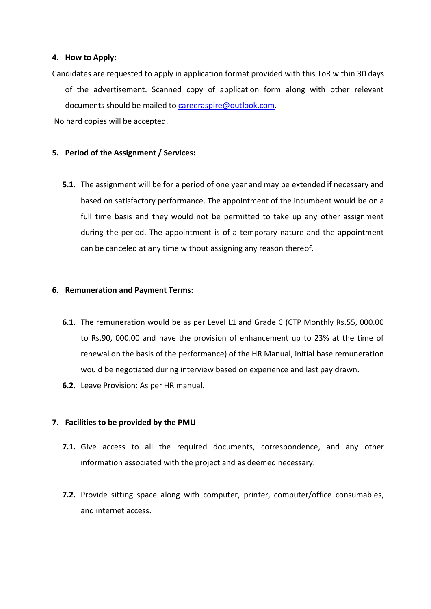#### **4. How to Apply:**

Candidates are requested to apply in application format provided with this ToR within 30 days of the advertisement. Scanned copy of application form along with other relevant documents should be mailed to [careeraspire@outlook.com.](mailto:careeraspire@outlook.com)

No hard copies will be accepted.

### **5. Period of the Assignment / Services:**

**5.1.** The assignment will be for a period of one year and may be extended if necessary and based on satisfactory performance. The appointment of the incumbent would be on a full time basis and they would not be permitted to take up any other assignment during the period. The appointment is of a temporary nature and the appointment can be canceled at any time without assigning any reason thereof.

### **6. Remuneration and Payment Terms:**

- **6.1.** The remuneration would be as per Level L1 and Grade C (CTP Monthly Rs.55, 000.00 to Rs.90, 000.00 and have the provision of enhancement up to 23% at the time of renewal on the basis of the performance) of the HR Manual, initial base remuneration would be negotiated during interview based on experience and last pay drawn.
- **6.2.** Leave Provision: As per HR manual.

### **7. Facilities to be provided by the PMU**

- **7.1.** Give access to all the required documents, correspondence, and any other information associated with the project and as deemed necessary.
- **7.2.** Provide sitting space along with computer, printer, computer/office consumables, and internet access.